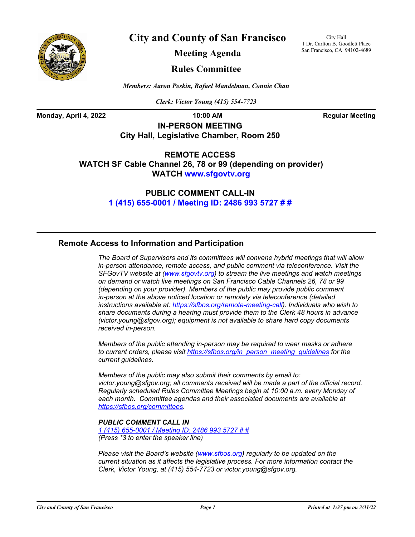

**City and County of San Francisco**

City Hall 1 Dr. Carlton B. Goodlett Place San Francisco, CA 94102-4689

**Meeting Agenda**

### **Rules Committee**

*Members: Aaron Peskin, Rafael Mandelman, Connie Chan*

*Clerk: Victor Young (415) 554-7723*

**Monday, April 4, 2022 10:00 AM Regular Meeting** 

**IN-PERSON MEETING City Hall, Legislative Chamber, Room 250**

**REMOTE ACCESS WATCH SF Cable Channel 26, 78 or 99 (depending on provider) WATCH<www.sfgovtv.org>**

> **PUBLIC COMMENT CALL-IN [1 \(415\) 655-0001 / Meeting ID: 2486 993 5727 # #](tel:+14156550001,,24869935727#,,#)**

### **Remote Access to Information and Participation**

*The Board of Supervisors and its committees will convene hybrid meetings that will allow in-person attendance, remote access, and public comment via teleconference. Visit the SFGovTV website at [\(www.sfgovtv.org\)](www.sfgovtv.org) to stream the live meetings and watch meetings on demand or watch live meetings on San Francisco Cable Channels 26, 78 or 99 (depending on your provider). Members of the public may provide public comment in-person at the above noticed location or remotely via teleconference (detailed instructions available at[: https://sfbos.org/remote-meeting-call\)](https://sfbos.org/remote-meeting-call). Individuals who wish to share documents during a hearing must provide them to the Clerk 48 hours in advance (victor.young@sfgov.org); equipment is not available to share hard copy documents received in-person.*

*Members of the public attending in-person may be required to wear masks or adhere to current orders, please visit [https://sfbos.org/in\\_person\\_meeting\\_guidelines](https://sfbos.org/in_person_meeting_guidelines) for the current guidelines.*

*Members of the public may also submit their comments by email to: victor.young@sfgov.org; all comments received will be made a part of the official record. Regularly scheduled Rules Committee Meetings begin at 10:00 a.m. every Monday of each month. Committee agendas and their associated documents are available at [https://sfbos.org/committees.](https://sfbos.org/committees)*

### *PUBLIC COMMENT CALL IN*

*[1 \(415\) 655-0001 / Meeting ID: 2486 993 5727 # #](tel:+14156550001,,24869935727#,,#) (Press \*3 to enter the speaker line)*

*Please visit the Board's website [\(www.sfbos.org\)](www.sfbos.org) regularly to be updated on the current situation as it affects the legislative process. For more information contact the Clerk, Victor Young, at (415) 554-7723 or victor.young@sfgov.org.*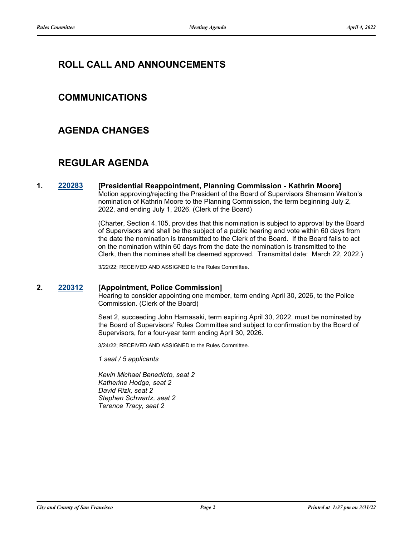# **ROLL CALL AND ANNOUNCEMENTS**

## **COMMUNICATIONS**

## **AGENDA CHANGES**

## **REGULAR AGENDA**

**1. [220283](http://sfgov.legistar.com/gateway.aspx?m=l&id=38475) [Presidential Reappointment, Planning Commission - Kathrin Moore]** Motion approving/rejecting the President of the Board of Supervisors Shamann Walton's nomination of Kathrin Moore to the Planning Commission, the term beginning July 2, 2022, and ending July 1, 2026. (Clerk of the Board)

> (Charter, Section 4.105, provides that this nomination is subject to approval by the Board of Supervisors and shall be the subject of a public hearing and vote within 60 days from the date the nomination is transmitted to the Clerk of the Board. If the Board fails to act on the nomination within 60 days from the date the nomination is transmitted to the Clerk, then the nominee shall be deemed approved. Transmittal date: March 22, 2022.)

3/22/22; RECEIVED AND ASSIGNED to the Rules Committee.

### **2. [220312](http://sfgov.legistar.com/gateway.aspx?m=l&id=38504) [Appointment, Police Commission]**

Hearing to consider appointing one member, term ending April 30, 2026, to the Police Commission. (Clerk of the Board)

Seat 2, succeeding John Hamasaki, term expiring April 30, 2022, must be nominated by the Board of Supervisors' Rules Committee and subject to confirmation by the Board of Supervisors, for a four-year term ending April 30, 2026.

3/24/22; RECEIVED AND ASSIGNED to the Rules Committee.

*1 seat / 5 applicants*

*Kevin Michael Benedicto, seat 2 Katherine Hodge, seat 2 David Rizk, seat 2 Stephen Schwartz, seat 2 Terence Tracy, seat 2*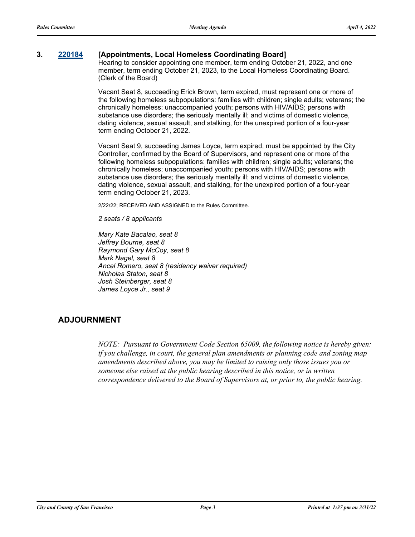### **3. [220184](http://sfgov.legistar.com/gateway.aspx?m=l&id=38379) [Appointments, Local Homeless Coordinating Board]**

Hearing to consider appointing one member, term ending October 21, 2022, and one member, term ending October 21, 2023, to the Local Homeless Coordinating Board. (Clerk of the Board)

Vacant Seat 8, succeeding Erick Brown, term expired, must represent one or more of the following homeless subpopulations: families with children; single adults; veterans; the chronically homeless; unaccompanied youth; persons with HIV/AIDS; persons with substance use disorders; the seriously mentally ill; and victims of domestic violence, dating violence, sexual assault, and stalking, for the unexpired portion of a four-year term ending October 21, 2022.

Vacant Seat 9, succeeding James Loyce, term expired, must be appointed by the City Controller, confirmed by the Board of Supervisors, and represent one or more of the following homeless subpopulations: families with children; single adults; veterans; the chronically homeless; unaccompanied youth; persons with HIV/AIDS; persons with substance use disorders; the seriously mentally ill; and victims of domestic violence, dating violence, sexual assault, and stalking, for the unexpired portion of a four-year term ending October 21, 2023.

2/22/22; RECEIVED AND ASSIGNED to the Rules Committee.

*2 seats / 8 applicants*

*Mary Kate Bacalao, seat 8 Jeffrey Bourne, seat 8 Raymond Gary McCoy, seat 8 Mark Nagel, seat 8 Ancel Romero, seat 8 (residency waiver required) Nicholas Staton, seat 8 Josh Steinberger, seat 8 James Loyce Jr., seat 9*

### **ADJOURNMENT**

*NOTE: Pursuant to Government Code Section 65009, the following notice is hereby given: if you challenge, in court, the general plan amendments or planning code and zoning map amendments described above, you may be limited to raising only those issues you or someone else raised at the public hearing described in this notice, or in written correspondence delivered to the Board of Supervisors at, or prior to, the public hearing.*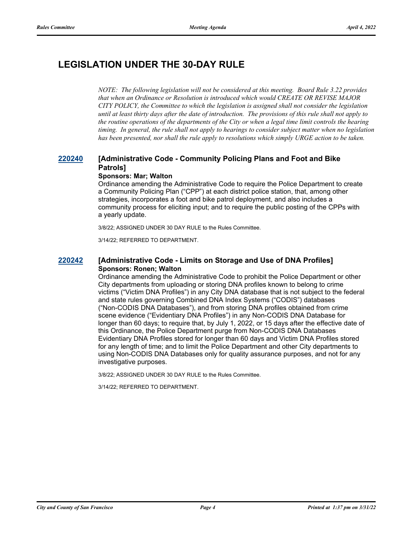# **LEGISLATION UNDER THE 30-DAY RULE**

*NOTE: The following legislation will not be considered at this meeting. Board Rule 3.22 provides that when an Ordinance or Resolution is introduced which would CREATE OR REVISE MAJOR CITY POLICY, the Committee to which the legislation is assigned shall not consider the legislation until at least thirty days after the date of introduction. The provisions of this rule shall not apply to the routine operations of the departments of the City or when a legal time limit controls the hearing timing. In general, the rule shall not apply to hearings to consider subject matter when no legislation has been presented, nor shall the rule apply to resolutions which simply URGE action to be taken.*

## **[220240](http://sfgov.legistar.com/gateway.aspx?m=l&id=38432) [Administrative Code - Community Policing Plans and Foot and Bike Patrols]**

### **Sponsors: Mar; Walton**

Ordinance amending the Administrative Code to require the Police Department to create a Community Policing Plan ("CPP") at each district police station, that, among other strategies, incorporates a foot and bike patrol deployment, and also includes a community process for eliciting input; and to require the public posting of the CPPs with a yearly update.

3/8/22; ASSIGNED UNDER 30 DAY RULE to the Rules Committee.

3/14/22; REFERRED TO DEPARTMENT.

### **[220242](http://sfgov.legistar.com/gateway.aspx?m=l&id=38434) [Administrative Code - Limits on Storage and Use of DNA Profiles] Sponsors: Ronen; Walton**

Ordinance amending the Administrative Code to prohibit the Police Department or other City departments from uploading or storing DNA profiles known to belong to crime victims ("Victim DNA Profiles") in any City DNA database that is not subject to the federal and state rules governing Combined DNA Index Systems ("CODIS") databases ("Non-CODIS DNA Databases"), and from storing DNA profiles obtained from crime scene evidence ("Evidentiary DNA Profiles") in any Non-CODIS DNA Database for longer than 60 days; to require that, by July 1, 2022, or 15 days after the effective date of this Ordinance, the Police Department purge from Non-CODIS DNA Databases Evidentiary DNA Profiles stored for longer than 60 days and Victim DNA Profiles stored for any length of time; and to limit the Police Department and other City departments to using Non-CODIS DNA Databases only for quality assurance purposes, and not for any investigative purposes.

3/8/22; ASSIGNED UNDER 30 DAY RULE to the Rules Committee.

3/14/22; REFERRED TO DEPARTMENT.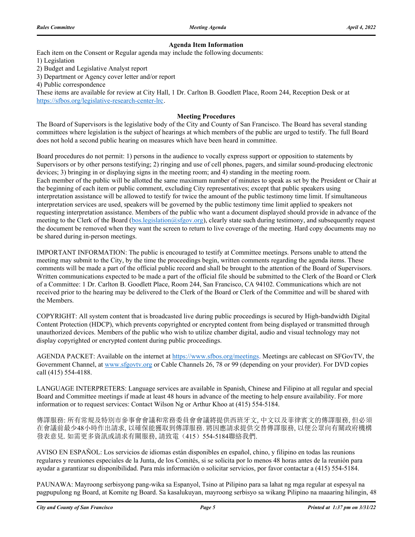#### **Agenda Item Information**

Each item on the Consent or Regular agenda may include the following documents:

1) Legislation

2) Budget and Legislative Analyst report

3) Department or Agency cover letter and/or report

4) Public correspondence

These items are available for review at City Hall, 1 Dr. Carlton B. Goodlett Place, Room 244, Reception Desk or at https://sfbos.org/legislative-research-center-lrc.

#### **Meeting Procedures**

The Board of Supervisors is the legislative body of the City and County of San Francisco. The Board has several standing committees where legislation is the subject of hearings at which members of the public are urged to testify. The full Board does not hold a second public hearing on measures which have been heard in committee.

Board procedures do not permit: 1) persons in the audience to vocally express support or opposition to statements by Supervisors or by other persons testifying; 2) ringing and use of cell phones, pagers, and similar sound-producing electronic devices; 3) bringing in or displaying signs in the meeting room; and 4) standing in the meeting room. Each member of the public will be allotted the same maximum number of minutes to speak as set by the President or Chair at the beginning of each item or public comment, excluding City representatives; except that public speakers using interpretation assistance will be allowed to testify for twice the amount of the public testimony time limit. If simultaneous interpretation services are used, speakers will be governed by the public testimony time limit applied to speakers not requesting interpretation assistance. Members of the public who want a document displayed should provide in advance of the meeting to the Clerk of the Board (bos.legislation@sfgov.org), clearly state such during testimony, and subsequently request the document be removed when they want the screen to return to live coverage of the meeting. Hard copy documents may no be shared during in-person meetings.

IMPORTANT INFORMATION: The public is encouraged to testify at Committee meetings. Persons unable to attend the meeting may submit to the City, by the time the proceedings begin, written comments regarding the agenda items. These comments will be made a part of the official public record and shall be brought to the attention of the Board of Supervisors. Written communications expected to be made a part of the official file should be submitted to the Clerk of the Board or Clerk of a Committee: 1 Dr. Carlton B. Goodlett Place, Room 244, San Francisco, CA 94102. Communications which are not received prior to the hearing may be delivered to the Clerk of the Board or Clerk of the Committee and will be shared with the Members.

COPYRIGHT: All system content that is broadcasted live during public proceedings is secured by High-bandwidth Digital Content Protection (HDCP), which prevents copyrighted or encrypted content from being displayed or transmitted through unauthorized devices. Members of the public who wish to utilize chamber digital, audio and visual technology may not display copyrighted or encrypted content during public proceedings.

AGENDA PACKET: Available on the internet at https://www.sfbos.org/meetings. Meetings are cablecast on SFGovTV, the Government Channel, at www.sfgovtv.org or Cable Channels 26, 78 or 99 (depending on your provider). For DVD copies call (415) 554-4188.

LANGUAGE INTERPRETERS: Language services are available in Spanish, Chinese and Filipino at all regular and special Board and Committee meetings if made at least 48 hours in advance of the meeting to help ensure availability. For more information or to request services: Contact Wilson Ng or Arthur Khoo at (415) 554-5184.

傳譯服務: 所有常規及特別市參事會會議和常務委員會會議將提供西班牙文, 中文以及菲律賓文的傳譯服務, 但必須 在會議前最少48小時作出請求, 以確保能獲取到傳譯服務. 將因應請求提供交替傳譯服務, 以便公眾向有關政府機構 發表意見. 如需更多資訊或請求有關服務, 請致電(415)554-5184聯絡我們.

AVISO EN ESPAÑOL: Los servicios de idiomas están disponibles en español, chino, y filipino en todas las reunions regulares y reuniones especiales de la Junta, de los Comités, si se solicita por lo menos 48 horas antes de la reunión para ayudar a garantizar su disponibilidad. Para más información o solicitar servicios, por favor contactar a (415) 554-5184.

PAUNAWA: Mayroong serbisyong pang-wika sa Espanyol, Tsino at Pilipino para sa lahat ng mga regular at espesyal na pagpupulong ng Board, at Komite ng Board. Sa kasalukuyan, mayroong serbisyo sa wikang Pilipino na maaaring hilingin, 48